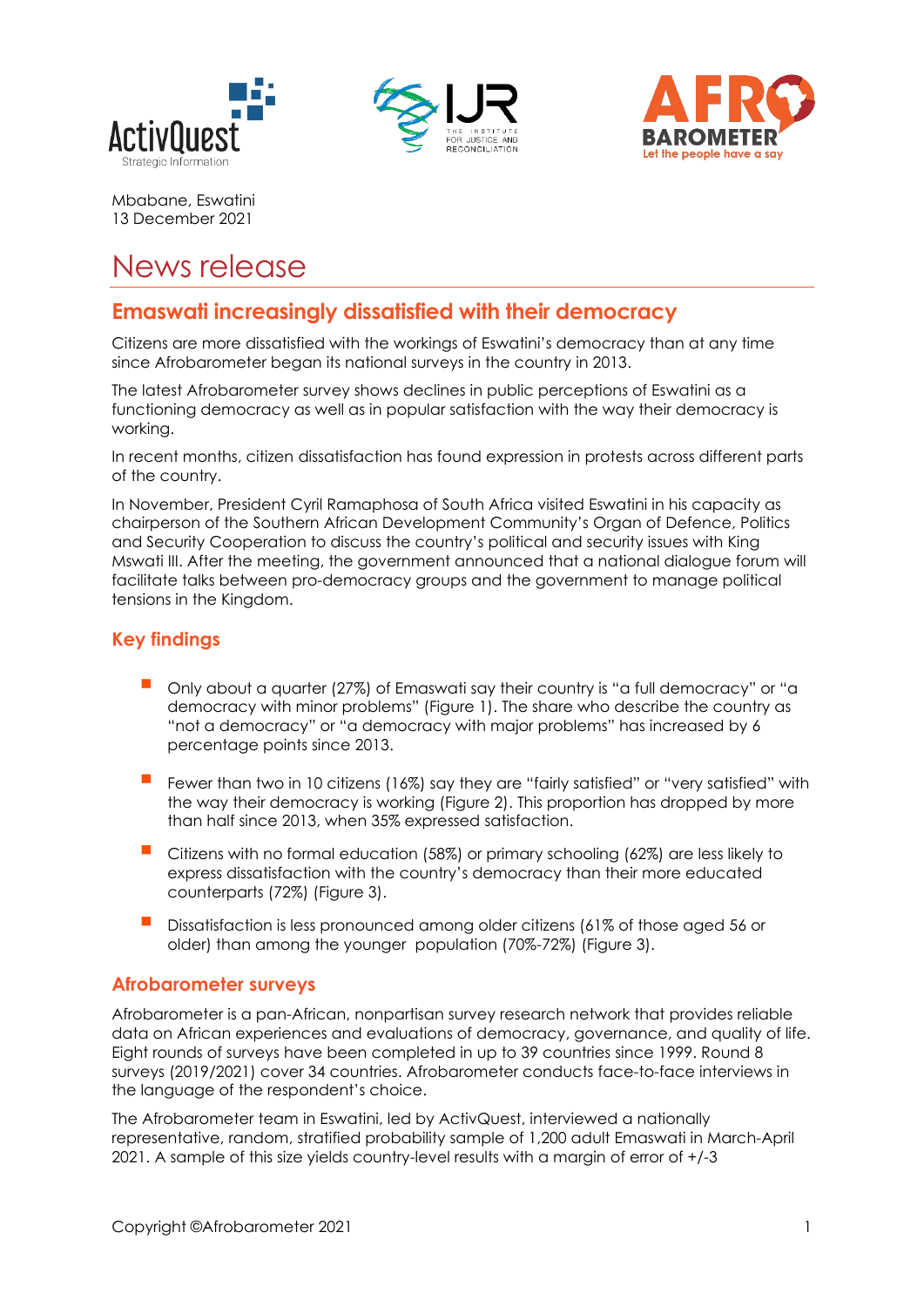





Mbabane, Eswatini 13 December 2021

# News release

## **Emaswati increasingly dissatisfied with their democracy**

Citizens are more dissatisfied with the workings of Eswatini's democracy than at any time since Afrobarometer began its national surveys in the country in 2013.

The latest Afrobarometer survey shows declines in public perceptions of Eswatini as a functioning democracy as well as in popular satisfaction with the way their democracy is working.

In recent months, citizen dissatisfaction has found expression in protests across different parts of the country.

In November, President Cyril Ramaphosa of South Africa visited Eswatini in his capacity as chairperson of the Southern African Development Community's Organ of Defence, Politics and Security Cooperation to discuss the country's political and security issues with King Mswati III. After the meeting, the government announced that a national dialogue forum will facilitate talks between pro-democracy groups and the government to manage political tensions in the Kingdom.

### **Key findings**

- Only about a quarter (27%) of Emaswati say their country is "a full democracy" or "a democracy with minor problems" (Figure 1). The share who describe the country as "not a democracy" or "a democracy with major problems" has increased by 6 percentage points since 2013.
- Fewer than two in 10 citizens (16%) say they are "fairly satisfied" or "very satisfied" with the way their democracy is working (Figure 2). This proportion has dropped by more than half since 2013, when 35% expressed satisfaction.
- Citizens with no formal education (58%) or primary schooling (62%) are less likely to express dissatisfaction with the country's democracy than their more educated counterparts (72%) (Figure 3).
- Dissatisfaction is less pronounced among older citizens (61% of those aged 56 or older) than among the younger population (70%-72%) (Figure 3).

#### **Afrobarometer surveys**

Afrobarometer is a pan-African, nonpartisan survey research network that provides reliable data on African experiences and evaluations of democracy, governance, and quality of life. Eight rounds of surveys have been completed in up to 39 countries since 1999. Round 8 surveys (2019/2021) cover 34 countries. Afrobarometer conducts face-to-face interviews in the language of the respondent's choice.

The Afrobarometer team in Eswatini, led by ActivQuest, interviewed a nationally representative, random, stratified probability sample of 1,200 adult Emaswati in March-April 2021. A sample of this size yields country-level results with a margin of error of +/-3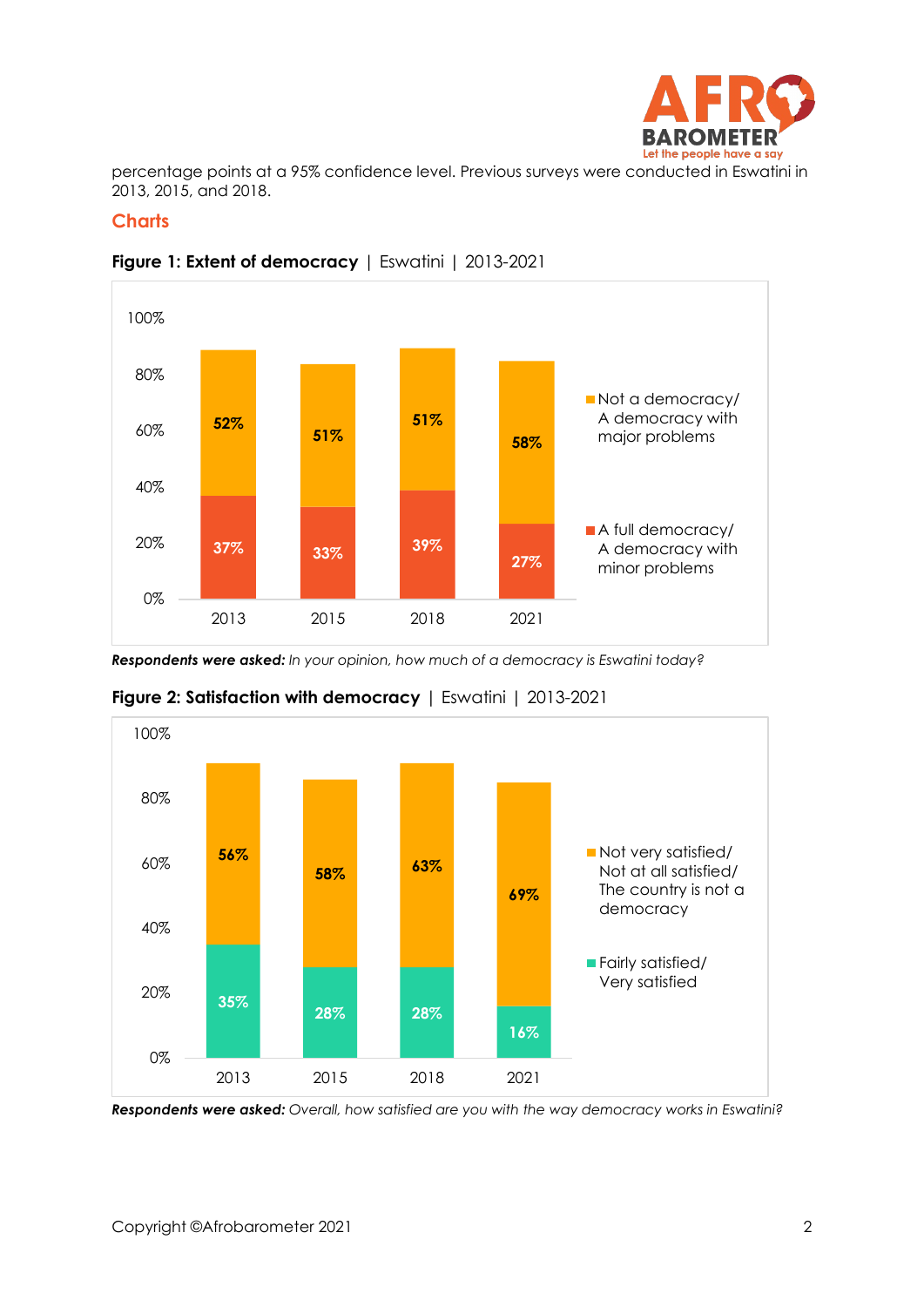

percentage points at a 95% confidence level. Previous surveys were conducted in Eswatini in 2013, 2015, and 2018.

#### **Charts**



**Figure 1: Extent of democracy** | Eswatini | 2013-2021

*Respondents were asked: In your opinion, how much of a democracy is Eswatini today?*



**Figure 2: Satisfaction with democracy** | Eswatini | 2013-2021

*Respondents were asked: Overall, how satisfied are you with the way democracy works in Eswatini?*